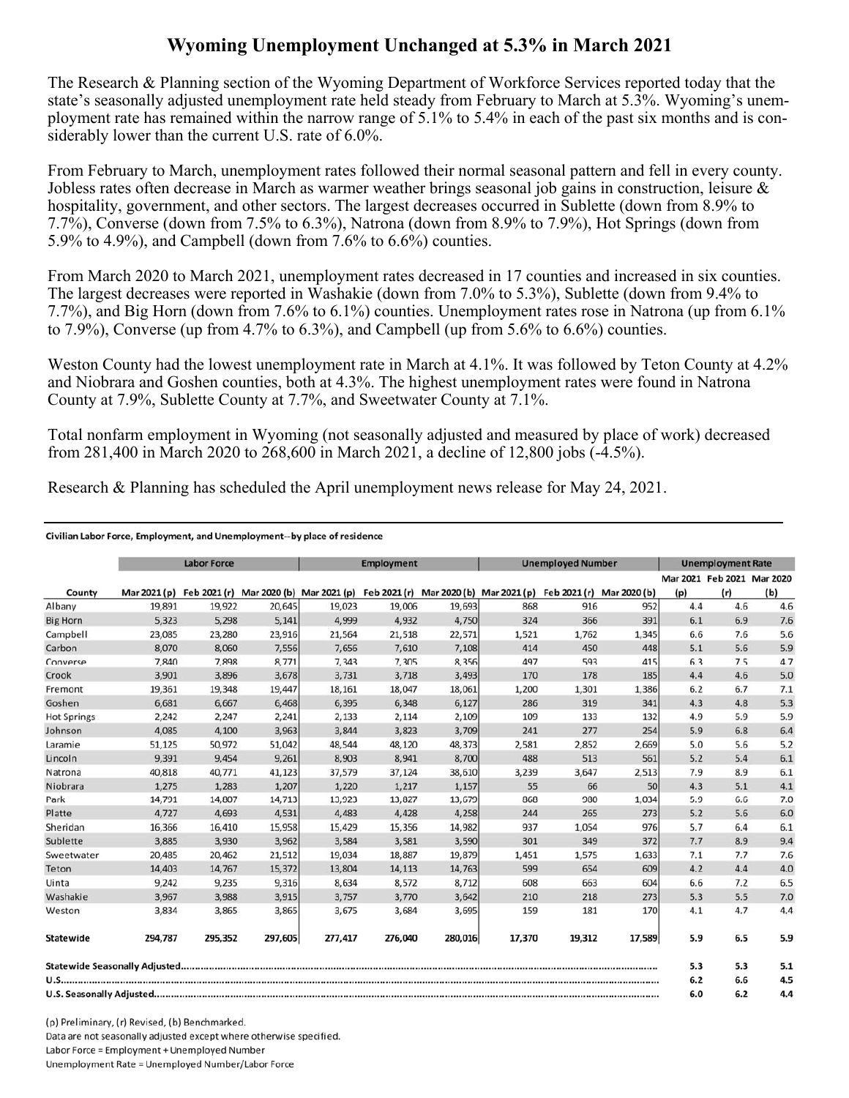## **Wyoming Unemployment Unchanged at 5.3% in March 2021**

The Research & Planning section of the Wyoming Department of Workforce Services reported today that the state's seasonally adjusted unemployment rate held steady from February to March at 5.3%. Wyoming's unemployment rate has remained within the narrow range of 5.1% to 5.4% in each of the past six months and is considerably lower than the current U.S. rate of 6.0%.

From February to March, unemployment rates followed their normal seasonal pattern and fell in every county. Jobless rates often decrease in March as warmer weather brings seasonal job gains in construction, leisure & hospitality, government, and other sectors. The largest decreases occurred in Sublette (down from 8.9% to 7.7%), Converse (down from 7.5% to 6.3%), Natrona (down from 8.9% to 7.9%), Hot Springs (down from 5.9% to 4.9%), and Campbell (down from 7.6% to 6.6%) counties.

From March 2020 to March 2021, unemployment rates decreased in 17 counties and increased in six counties. The largest decreases were reported in Washakie (down from 7.0% to 5.3%), Sublette (down from 9.4% to 7.7%), and Big Horn (down from 7.6% to 6.1%) counties. Unemployment rates rose in Natrona (up from 6.1% to 7.9%), Converse (up from 4.7% to 6.3%), and Campbell (up from 5.6% to 6.6%) counties.

Weston County had the lowest unemployment rate in March at 4.1%. It was followed by Teton County at 4.2% and Niobrara and Goshen counties, both at 4.3%. The highest unemployment rates were found in Natrona County at 7.9%, Sublette County at 7.7%, and Sweetwater County at 7.1%.

Total nonfarm employment in Wyoming (not seasonally adjusted and measured by place of work) decreased from 281,400 in March 2020 to 268,600 in March 2021, a decline of 12,800 jobs (-4.5%).

Research & Planning has scheduled the April unemployment news release for May 24, 2021.

## Civilian Labor Force, Employment, and Unemployment--by place of residence

|                    |              | <b>Labor Force</b> |         |                                                                               | <b>Employment</b> |         |        | <b>Unemployed Number</b> |                           |     | <b>Unemployment Rate</b>          |     |
|--------------------|--------------|--------------------|---------|-------------------------------------------------------------------------------|-------------------|---------|--------|--------------------------|---------------------------|-----|-----------------------------------|-----|
| County             | Mar 2021 (p) |                    |         | Feb 2021 (r) Mar 2020 (b) Mar 2021 (p) Feb 2021 (r) Mar 2020 (b) Mar 2021 (p) |                   |         |        |                          | Feb 2021 (r) Mar 2020 (b) | (p) | Mar 2021 Feb 2021 Mar 2020<br>(r) | (b) |
| Albany             | 19,891       | 19,922             | 20,645  | 19,023                                                                        | 19,006            | 19,693  | 868    | 916                      | 952                       | 4.4 | 4.6                               | 4.6 |
| <b>Big Horn</b>    | 5,323        | 5,298              | 5,141   | 4,999                                                                         | 4,932             | 4,750   | 324    | 366                      | 391                       | 6.1 | 6.9                               | 7.6 |
| Campbell           | 23,085       | 23,280             | 23,916  | 21,564                                                                        | 21,518            | 22,571  | 1,521  | 1,762                    | 1,345                     | 6.6 | 7.6                               | 5.6 |
| Carbon             | 8,070        | 8,060              | 7,556   | 7,656                                                                         | 7,610             | 7,108   | 414    | 450                      | 448                       | 5.1 | 5.6                               | 5.9 |
| Converse           | 7,840        | 7.898              | 8,771   | 7,343                                                                         | 7,305             | 8,356   | 497    | 593                      | 415                       | 6.3 | 7.5                               | 4.7 |
| Crook              | 3.901        | 3,896              | 3,678   | 3,731                                                                         | 3,718             | 3,493   | 170    | 178                      | 185                       | 4.4 | 4.6                               | 5.0 |
| Fremont            | 19,361       | 19,348             | 19,447  | 18,161                                                                        | 18,047            | 18,061  | 1,200  | 1,301                    | 1,386                     | 6.2 | 6.7                               | 7.1 |
| Goshen             | 6,681        | 6,667              | 6,468   | 6,395                                                                         | 6,348             | 6,127   | 286    | 319                      | 341                       | 4.3 | 4.8                               | 5.3 |
| <b>Hot Springs</b> | 2,242        | 2,247              | 2,241   | 2,133                                                                         | 2,114             | 2,109   | 109    | 133                      | 132                       | 4.9 | 5.9                               | 5.9 |
| Johnson            | 4,085        | 4,100              | 3,963   | 3,844                                                                         | 3,823             | 3,709   | 241    | 277                      | 254                       | 5.9 | 6.8                               | 6.4 |
| Laramie            | 51,125       | 50,972             | 51,042  | 48,544                                                                        | 48,120            | 48,373  | 2,581  | 2,852                    | 2,669                     | 5.0 | 5.6                               | 5.2 |
| Lincoln            | 9,391        | 9,454              | 9,261   | 8,903                                                                         | 8,941             | 8,700   | 488    | 513                      | 561                       | 5.2 | 5.4                               | 6.1 |
| Natrona            | 40,818       | 40,771             | 41,123  | 37,579                                                                        | 37,124            | 38,610  | 3,239  | 3,647                    | 2,513                     | 7.9 | 8.9                               | 6.1 |
| Niobrara           | 1,275        | 1,283              | 1,207   | 1,220                                                                         | 1,217             | 1,157   | 55     | 66                       | 50                        | 4.3 | 5.1                               | 4.1 |
| Park               | 14,791       | 14,807             | 14,713  | 13,923                                                                        | 13,827            | 13,679  | 868    | 980                      | 1.034                     | 5.9 | 6.6                               | 7.0 |
| Platte             | 4,727        | 4,693              | 4,531   | 4,483                                                                         | 4,428             | 4,258   | 244    | 265                      | 273                       | 5.2 | 5.6                               | 6.0 |
| Sheridan           | 16,366       | 16,410             | 15,958  | 15,429                                                                        | 15,356            | 14,982  | 937    | 1,054                    | 976                       | 5.7 | 6.4                               | 6.1 |
| Sublette           | 3,885        | 3,930              | 3,962   | 3,584                                                                         | 3,581             | 3,590   | 301    | 349                      | 372                       | 7.7 | 8.9                               | 9.4 |
| Sweetwater         | 20,485       | 20,462             | 21,512  | 19,034                                                                        | 18,887            | 19,879  | 1,451  | 1,575                    | 1,633                     | 7.1 | 7.7                               | 7.6 |
| Teton              | 14,403       | 14,767             | 15,372  | 13,804                                                                        | 14,113            | 14,763  | 599    | 654                      | 609                       | 4.2 | 4.4                               | 4.0 |
| Uinta              | 9,242        | 9,235              | 9,316   | 8,634                                                                         | 8,572             | 8,712   | 608    | 663                      | 604                       | 6.6 | 7.2                               | 6.5 |
| Washakie           | 3,967        | 3,988              | 3,915   | 3,757                                                                         | 3,770             | 3,642   | 210    | 218                      | 273                       | 5.3 | 5.5                               | 7.0 |
| Weston             | 3,834        | 3,865              | 3,865   | 3,675                                                                         | 3,684             | 3,695   | 159    | 181                      | 170                       | 4.1 | 4.7                               | 4.4 |
| Statewide          | 294,787      | 295,352            | 297,605 | 277,417                                                                       | 276,040           | 280,016 | 17,370 | 19,312                   | 17,589                    | 5.9 | 6.5                               | 5.9 |
|                    |              |                    |         |                                                                               |                   |         |        |                          |                           | 5.3 | 5.3                               | 5.1 |
|                    |              |                    |         |                                                                               |                   |         |        |                          |                           | 6.2 | 6.6                               | 4.5 |
|                    |              |                    |         |                                                                               |                   |         |        |                          |                           | 6.0 | 6.2                               | 4.4 |

(p) Preliminary, (r) Revised, (b) Benchmarked. Data are not seasonally adjusted except where otherwise specified. Labor Force = Employment + Unemployed Number Unemployment Rate = Unemployed Number/Labor Force